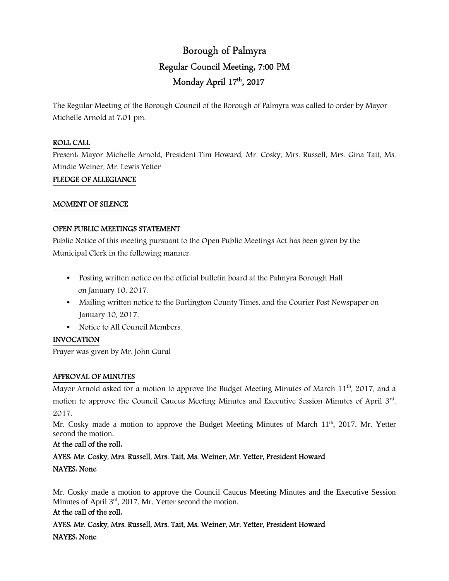# Borough of Palmyra Regular Council Meeting, 7:00 PM Monday April 17th , 2017

The Regular Meeting of the Borough Council of the Borough of Palmyra was called to order by Mayor Michelle Arnold at 7:01 pm.

## ROLL CALL

Present: Mayor Michelle Arnold, President Tim Howard, Mr. Cosky, Mrs. Russell, Mrs. Gina Tait, Ms. Mindie Weiner, Mr. Lewis Yetter

### PLEDGE OF ALLEGIANCE

#### MOMENT OF SILENCE

### OPEN PUBLIC MEETINGS STATEMENT

Public Notice of this meeting pursuant to the Open Public Meetings Act has been given by the Municipal Clerk in the following manner:

- Posting written notice on the official bulletin board at the Palmyra Borough Hall on January 10, 2017.
- Mailing written notice to the Burlington County Times, and the Courier Post Newspaper on January 10, 2017.
- Notice to All Council Members.

## INVOCATION

Prayer was given by Mr. John Gural

## APPROVAL OF MINUTES

Mayor Arnold asked for a motion to approve the Budget Meeting Minutes of March 11<sup>th</sup>, 2017, and a motion to approve the Council Caucus Meeting Minutes and Executive Session Minutes of April 3<sup>rd</sup>, 2017.

Mr. Cosky made a motion to approve the Budget Meeting Minutes of March  $11<sup>th</sup>$ , 2017. Mr. Yetter second the motion.

## At the call of the roll:

AYES: Mr. Cosky, Mrs. Russell, Mrs. Tait, Ms. Weiner, Mr. Yetter, President Howard NAYES: None

Mr. Cosky made a motion to approve the Council Caucus Meeting Minutes and the Executive Session Minutes of April 3rd, 2017. Mr. Yetter second the motion.

#### At the call of the roll:

AYES: Mr. Cosky, Mrs. Russell, Mrs. Tait, Ms. Weiner, Mr. Yetter, President Howard NAYES: None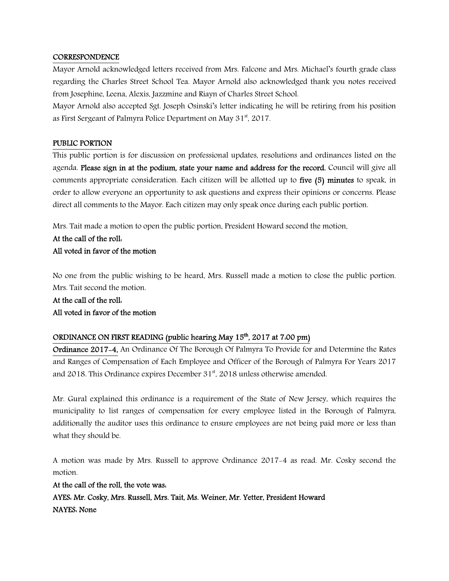#### **CORRESPONDENCE**

Mayor Arnold acknowledged letters received from Mrs. Falcone and Mrs. Michael's fourth grade class regarding the Charles Street School Tea. Mayor Arnold also acknowledged thank you notes received from Josephine, Leena, Alexis, Jazzmine and Riayn of Charles Street School.

Mayor Arnold also accepted Sgt. Joseph Osinski's letter indicating he will be retiring from his position as First Sergeant of Palmyra Police Department on May 31<sup>st</sup>, 2017.

#### PUBLIC PORTION

This public portion is for discussion on professional updates, resolutions and ordinances listed on the agenda. Please sign in at the podium, state your name and address for the record. Council will give all comments appropriate consideration. Each citizen will be allotted up to five (5) minutes to speak, in order to allow everyone an opportunity to ask questions and express their opinions or concerns. Please direct all comments to the Mayor. Each citizen may only speak once during each public portion.

Mrs. Tait made a motion to open the public portion, President Howard second the motion.

## At the call of the roll: All voted in favor of the motion

No one from the public wishing to be heard, Mrs. Russell made a motion to close the public portion. Mrs. Tait second the motion.

## At the call of the roll: All voted in favor of the motion

## ORDINANCE ON FIRST READING (public hearing May 15<sup>th</sup>, 2017 at 7:00 pm)

Ordinance 2017-4, An Ordinance Of The Borough Of Palmyra To Provide for and Determine the Rates and Ranges of Compensation of Each Employee and Officer of the Borough of Palmyra For Years 2017 and 2018. This Ordinance expires December  $31<sup>st</sup>$ , 2018 unless otherwise amended.

Mr. Gural explained this ordinance is a requirement of the State of New Jersey, which requires the municipality to list ranges of compensation for every employee listed in the Borough of Palmyra, additionally the auditor uses this ordinance to ensure employees are not being paid more or less than what they should be.

A motion was made by Mrs. Russell to approve Ordinance 2017-4 as read. Mr. Cosky second the motion.

At the call of the roll, the vote was: AYES: Mr. Cosky, Mrs. Russell, Mrs. Tait, Ms. Weiner, Mr. Yetter, President Howard NAYES: None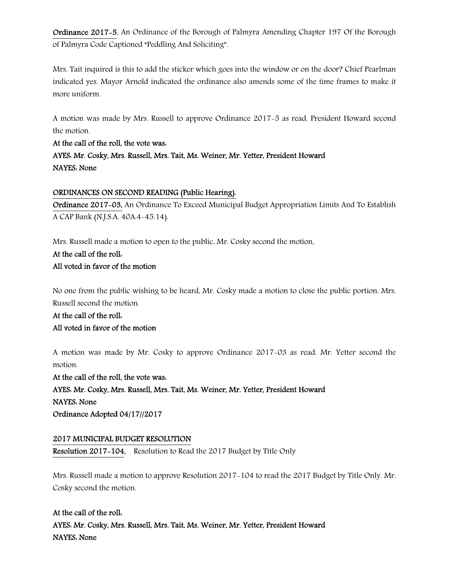Ordinance 2017-5, An Ordinance of the Borough of Palmyra Amending Chapter 197 Of the Borough of Palmyra Code Captioned "Peddling And Soliciting".

Mrs. Tait inquired is this to add the sticker which goes into the window or on the door? Chief Pearlman indicated yes. Mayor Arnold indicated the ordinance also amends some of the time frames to make it more uniform.

A motion was made by Mrs. Russell to approve Ordinance 2017-5 as read. President Howard second the motion.

At the call of the roll, the vote was: AYES: Mr. Cosky, Mrs. Russell, Mrs. Tait, Ms. Weiner, Mr. Yetter, President Howard NAYES: None

## ORDINANCES ON SECOND READING (Public Hearing).

Ordinance 2017-03, An Ordinance To Exceed Municipal Budget Appropriation Limits And To Establish A CAP Bank (N.J.S.A. 40A:4-45.14).

Mrs. Russell made a motion to open to the public, Mr. Cosky second the motion.

## At the call of the roll: All voted in favor of the motion

No one from the public wishing to be heard, Mr. Cosky made a motion to close the public portion. Mrs. Russell second the motion.

## At the call of the roll: All voted in favor of the motion

A motion was made by Mr. Cosky to approve Ordinance 2017-03 as read. Mr. Yetter second the motion.

At the call of the roll, the vote was: AYES: Mr. Cosky, Mrs. Russell, Mrs. Tait, Ms. Weiner, Mr. Yetter, President Howard NAYES: None Ordinance Adopted 04/17//2017

## 2017 MUNICIPAL BUDGET RESOLUTION

Resolution 2017-104, Resolution to Read the 2017 Budget by Title Only

Mrs. Russell made a motion to approve Resolution 2017-104 to read the 2017 Budget by Title Only. Mr. Cosky second the motion.

## At the call of the roll: AYES: Mr. Cosky, Mrs. Russell, Mrs. Tait, Ms. Weiner, Mr. Yetter, President Howard NAYES: None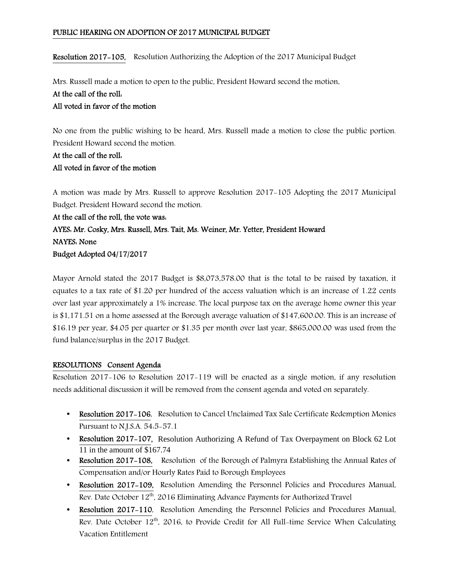### PUBLIC HEARING ON ADOPTION OF 2017 MUNICIPAL BUDGET

Resolution 2017-105, Resolution Authorizing the Adoption of the 2017 Municipal Budget

Mrs. Russell made a motion to open to the public, President Howard second the motion.

## At the call of the roll:

## All voted in favor of the motion

No one from the public wishing to be heard, Mrs. Russell made a motion to close the public portion. President Howard second the motion.

## At the call of the roll: All voted in favor of the motion

A motion was made by Mrs. Russell to approve Resolution 2017-105 Adopting the 2017 Municipal Budget. President Howard second the motion.

## At the call of the roll, the vote was: AYES: Mr. Cosky, Mrs. Russell, Mrs. Tait, Ms. Weiner, Mr. Yetter, President Howard NAYES: None Budget Adopted 04/17/2017

Mayor Arnold stated the 2017 Budget is \$8,073,578.00 that is the total to be raised by taxation, it equates to a tax rate of \$1.20 per hundred of the access valuation which is an increase of 1.22 cents over last year approximately a 1% increase. The local purpose tax on the average home owner this year is \$1,171.51 on a home assessed at the Borough average valuation of \$147,600.00. This is an increase of \$16.19 per year, \$4.05 per quarter or \$1.35 per month over last year, \$865,000.00 was used from the fund balance/surplus in the 2017 Budget.

## RESOLUTIONS Consent Agenda

Resolution 2017-106 to Resolution 2017-119 will be enacted as a single motion, if any resolution needs additional discussion it will be removed from the consent agenda and voted on separately.

- Resolution 2017-106, Resolution to Cancel Unclaimed Tax Sale Certificate Redemption Monies Pursuant to N.J.S.A. 54:5-57.1
- Resolution 2017-107, Resolution Authorizing A Refund of Tax Overpayment on Block 62 Lot  $11$  in the amount of \$167.74
- Resolution 2017-108, Resolution of the Borough of Palmyra Establishing the Annual Rates of Compensation and/or Hourly Rates Paid to Borough Employees
- Resolution 2017-109, Resolution Amending the Personnel Policies and Procedures Manual, Rev. Date October 12<sup>th</sup>, 2016 Eliminating Advance Payments for Authorized Travel
- Resolution 2017-110, Resolution Amending the Personnel Policies and Procedures Manual, Rev. Date October 12<sup>th</sup>, 2016, to Provide Credit for All Full-time Service When Calculating Vacation Entitlement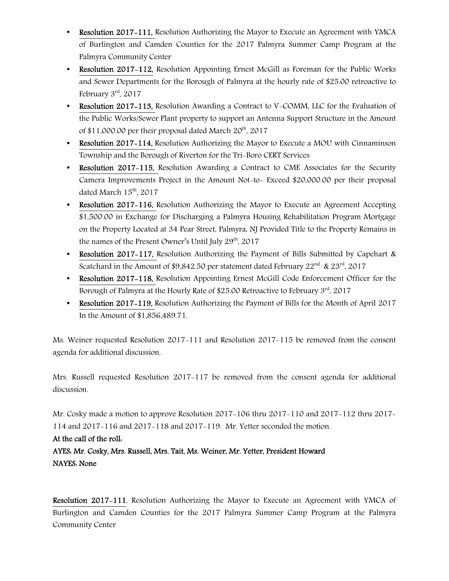- Resolution 2017-111, Resolution Authorizing the Mayor to Execute an Agreement with YMCA of Burlington and Camden Counties for the 2017 Palmyra Summer Camp Program at the Palmyra Community Center
- Resolution 2017-112, Resolution Appointing Ernest McGill as Foreman for the Public Works and Sewer Departments for the Borough of Palmyra at the hourly rate of \$25.00 retroactive to February 3rd, 2017
- Resolution 2017–113, Resolution Awarding a Contract to V-COMM. LLC for the Evaluation of the Public Works/Sewer Plant property to support an Antenna Support Structure in the Amount of \$11,000.00 per their proposal dated March  $20^{th}$ ,  $2017$
- Resolution 2017–114, Resolution Authorizing the Mayor to Execute a MOU with Cinnaminson Township and the Borough of Riverton for the Tri-Boro CERT Services
- Resolution 2017-115, Resolution Awarding a Contract to CME Associates for the Security Camera Improvements Project in the Amount Not-to- Exceed \$20,000.00 per their proposal dated March 15<sup>th</sup>, 2017
- Resolution 2017–116, Resolution Authorizing the Mayor to Execute an Agreement Accepting \$1,500.00 in Exchange for Discharging a Palmyra Housing Rehabilitation Program Mortgage on the Property Located at 34 Pear Street, Palmyra, NJ Provided Title to the Property Remains in the names of the Present Owner's Until July  $29<sup>th</sup>$ , 2017
- Resolution 2017–117, Resolution Authorizing the Payment of Bills Submitted by Capehart & Scatchard in the Amount of \$9,842.50 per statement dated February  $22^{nd}$  &  $23^{rd}$ , 2017
- Resolution 2017-118, Resolution Appointing Ernest McGill Code Enforcement Officer for the Borough of Palmyra at the Hourly Rate of \$25.00 Retroactive to February 3<sup>rd</sup>, 2017
- Resolution 2017–119, Resolution Authorizing the Payment of Bills for the Month of April 2017 In the Amount of \$1,856,489.71.

Ms. Weiner requested Resolution 2017-111 and Resolution 2017-115 be removed from the consent agenda for additional discussion.

Mrs. Russell requested Resolution 2017-117 be removed from the consent agenda for additional discussion.

Mr. Cosky made a motion to approve Resolution 2017-106 thru 2017-110 and 2017-112 thru 2017- 114 and 2017-116 and 2017-118 and 2017-119. Mr. Yetter seconded the motion.

## At the call of the roll:

AYES: Mr. Cosky, Mrs. Russell, Mrs. Tait, Ms. Weiner, Mr. Yetter, President Howard NAYES: None

Resolution 2017-111, Resolution Authorizing the Mayor to Execute an Agreement with YMCA of Burlington and Camden Counties for the 2017 Palmyra Summer Camp Program at the Palmyra Community Center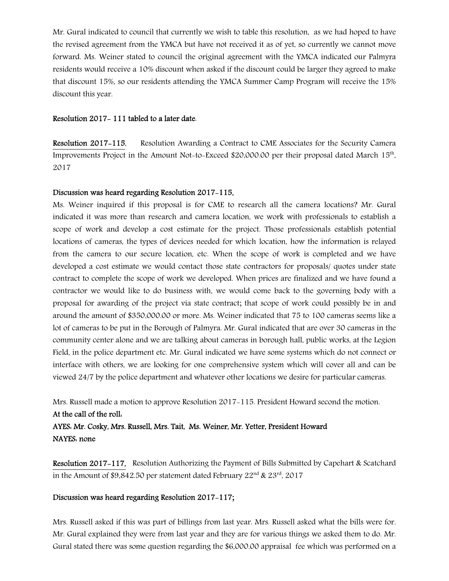Mr. Gural indicated to council that currently we wish to table this resolution, as we had hoped to have the revised agreement from the YMCA but have not received it as of yet, so currently we cannot move forward. Ms. Weiner stated to council the original agreement with the YMCA indicated our Palmyra residents would receive a 10% discount when asked if the discount could be larger they agreed to make that discount 15%, so our residents attending the YMCA Summer Camp Program will receive the 15% discount this year.

#### Resolution 2017- 111 tabled to a later date.

Resolution 2017-115, Resolution Awarding a Contract to CME Associates for the Security Camera Improvements Project in the Amount Not-to-Exceed \$20,000.00 per their proposal dated March 15<sup>th</sup>, 2017

#### Discussion was heard regarding Resolution 2017-115,

Ms. Weiner inquired if this proposal is for CME to research all the camera locations? Mr. Gural indicated it was more than research and camera location, we work with professionals to establish a scope of work and develop a cost estimate for the project. Those professionals establish potential locations of cameras, the types of devices needed for which location, how the information is relayed from the camera to our secure location, etc. When the scope of work is completed and we have developed a cost estimate we would contact those state contractors for proposals/ quotes under state contract to complete the scope of work we developed. When prices are finalized and we have found a contractor we would like to do business with, we would come back to the governing body with a proposal for awarding of the project via state contract; that scope of work could possibly be in and around the amount of \$350,000.00 or more. Ms. Weiner indicated that 75 to 100 cameras seems like a lot of cameras to be put in the Borough of Palmyra. Mr. Gural indicated that are over 30 cameras in the community center alone and we are talking about cameras in borough hall, public works, at the Legion Field, in the police department etc. Mr. Gural indicated we have some systems which do not connect or interface with others, we are looking for one comprehensive system which will cover all and can be viewed 24/7 by the police department and whatever other locations we desire for particular cameras.

Mrs. Russell made a motion to approve Resolution 2017-115. President Howard second the motion.

#### At the call of the roll:

AYES: Mr. Cosky, Mrs. Russell, Mrs. Tait, Ms. Weiner, Mr. Yetter, President Howard NAYES: none

Resolution 2017-117,Resolution Authorizing the Payment of Bills Submitted by Capehart & Scatchard in the Amount of \$9,842.50 per statement dated February  $22<sup>nd</sup>$  &  $23<sup>rd</sup>$ , 2017

### Discussion was heard regarding Resolution 2017-117;

Mrs. Russell asked if this was part of billings from last year. Mrs. Russell asked what the bills were for. Mr. Gural explained they were from last year and they are for various things we asked them to do. Mr. Gural stated there was some question regarding the \$6,000.00 appraisal fee which was performed on a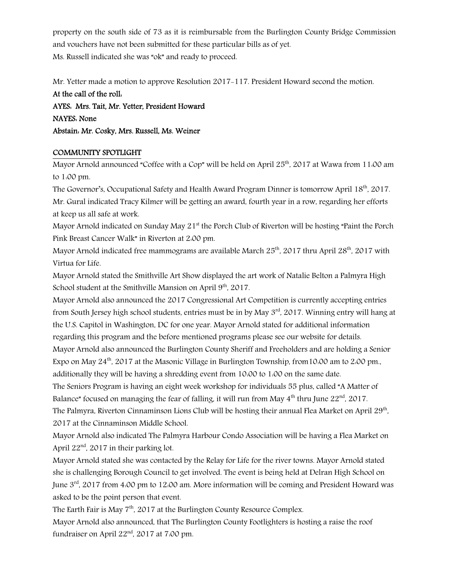property on the south side of 73 as it is reimbursable from the Burlington County Bridge Commission and vouchers have not been submitted for these particular bills as of yet. Ms. Russell indicated she was "ok" and ready to proceed.

Mr. Yetter made a motion to approve Resolution 2017-117. President Howard second the motion.

At the call of the roll: AYES: Mrs. Tait, Mr. Yetter, President Howard NAYES: None Abstain: Mr. Cosky, Mrs. Russell, Ms. Weiner

### COMMUNITY SPOTLIGHT

Mayor Arnold announced "Coffee with a Cop" will be held on April 25<sup>th</sup>, 2017 at Wawa from 11:00 am to 1:00 pm.

The Governor's, Occupational Safety and Health Award Program Dinner is tomorrow April 18<sup>th</sup>, 2017. Mr. Gural indicated Tracy Kilmer will be getting an award, fourth year in a row, regarding her efforts at keep us all safe at work.

Mayor Arnold indicated on Sunday May 21<sup>st</sup> the Porch Club of Riverton will be hosting "Paint the Porch Pink Breast Cancer Walk" in Riverton at 2:00 pm.

Mayor Arnold indicated free mammograms are available March  $25<sup>th</sup>$ , 2017 thru April  $28<sup>th</sup>$ , 2017 with Virtua for Life.

Mayor Arnold stated the Smithville Art Show displayed the art work of Natalie Belton a Palmyra High School student at the Smithville Mansion on April 9<sup>th</sup>, 2017.

Mayor Arnold also announced the 2017 Congressional Art Competition is currently accepting entries from South Jersey high school students, entries must be in by May 3<sup>rd</sup>, 2017. Winning entry will hang at the U.S. Capitol in Washington, DC for one year. Mayor Arnold stated for additional information regarding this program and the before mentioned programs please see our website for details. Mayor Arnold also announced the Burlington County Sheriff and Freeholders and are holding a Senior Expo on May  $24<sup>th</sup>$ , 2017 at the Masonic Village in Burlington Township, from 10:00 am to 2:00 pm., additionally they will be having a shredding event from 10:00 to 1:00 on the same date.

The Seniors Program is having an eight week workshop for individuals 55 plus, called "A Matter of Balance" focused on managing the fear of falling, it will run from May  $4^{\text{th}}$  thru June 22<sup>nd</sup>, 2017. The Palmyra, Riverton Cinnaminson Lions Club will be hosting their annual Flea Market on April 29 $^{\rm th}$ , 2017 at the Cinnaminson Middle School.

Mayor Arnold also indicated The Palmyra Harbour Condo Association will be having a Flea Market on April 22<sup>nd</sup>, 2017 in their parking lot.

Mayor Arnold stated she was contacted by the Relay for Life for the river towns. Mayor Arnold stated she is challenging Borough Council to get involved. The event is being held at Delran High School on June  $3<sup>rd</sup>$ , 2017 from 4:00 pm to 12:00 am. More information will be coming and President Howard was asked to be the point person that event.

The Earth Fair is May 7<sup>th</sup>, 2017 at the Burlington County Resource Complex.

Mayor Arnold also announced, that The Burlington County Footlighters is hosting a raise the roof fundraiser on April  $22<sup>nd</sup>$ , 2017 at 7:00 pm.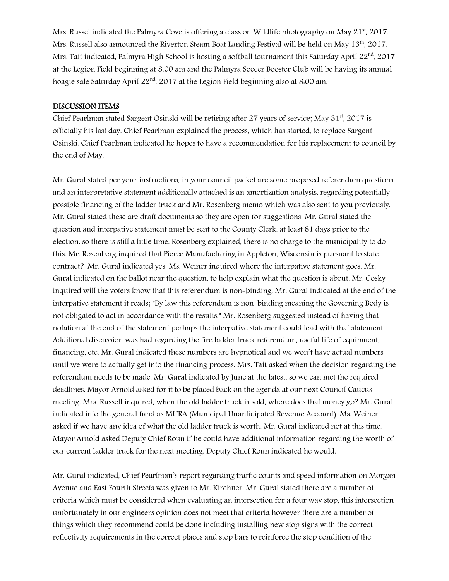Mrs. Russel indicated the Palmyra Cove is offering a class on Wildlife photography on May 21<sup>st</sup>, 2017. Mrs. Russell also announced the Riverton Steam Boat Landing Festival will be held on May 13th, 2017. Mrs. Tait indicated, Palmyra High School is hosting a softball tournament this Saturday April 22<sup>nd</sup>. 2017 at the Legion Field beginning at 8:00 am and the Palmyra Soccer Booster Club will be having its annual hoagie sale Saturday April 22<sup>nd</sup>, 2017 at the Legion Field beginning also at 8:00 am.

#### DISCUSSION ITEMS

Chief Pearlman stated Sargent Osinski will be retiring after 27 years of service; May  $31<sup>st</sup>$ , 2017 is officially his last day. Chief Pearlman explained the process, which has started, to replace Sargent Osinski. Chief Pearlman indicated he hopes to have a recommendation for his replacement to council by the end of May.

Mr. Gural stated per your instructions, in your council packet are some proposed referendum questions and an interpretative statement additionally attached is an amortization analysis, regarding potentially possible financing of the ladder truck and Mr. Rosenberg memo which was also sent to you previously. Mr. Gural stated these are draft documents so they are open for suggestions. Mr. Gural stated the question and interpative statement must be sent to the County Clerk, at least 81 days prior to the election, so there is still a little time. Rosenberg explained, there is no charge to the municipality to do this. Mr. Rosenberg inquired that Pierce Manufacturing in Appleton, Wisconsin is pursuant to state contract? Mr. Gural indicated yes. Ms. Weiner inquired where the interpative statement goes. Mr. Gural indicated on the ballot near the question, to help explain what the question is about. Mr. Cosky inquired will the voters know that this referendum is non-binding. Mr. Gural indicated at the end of the interpative statement it reads; "By law this referendum is non-binding meaning the Governing Body is not obligated to act in accordance with the results." Mr. Rosenberg suggested instead of having that notation at the end of the statement perhaps the interpative statement could lead with that statement. Additional discussion was had regarding the fire ladder truck referendum, useful life of equipment, financing, etc. Mr. Gural indicated these numbers are hypnotical and we won't have actual numbers until we were to actually get into the financing process. Mrs. Tait asked when the decision regarding the referendum needs to be made. Mr. Gural indicated by June at the latest, so we can met the required deadlines. Mayor Arnold asked for it to be placed back on the agenda at our next Council Caucus meeting. Mrs. Russell inquired, when the old ladder truck is sold, where does that money go? Mr. Gural indicated into the general fund as MURA (Municipal Unanticipated Revenue Account). Ms. Weiner asked if we have any idea of what the old ladder truck is worth. Mr. Gural indicated not at this time. Mayor Arnold asked Deputy Chief Roun if he could have additional information regarding the worth of our current ladder truck for the next meeting. Deputy Chief Roun indicated he would.

Mr. Gural indicated, Chief Pearlman's report regarding traffic counts and speed information on Morgan Avenue and East Fourth Streets was given to Mr. Kirchner. Mr. Gural stated there are a number of criteria which must be considered when evaluating an intersection for a four way stop, this intersection unfortunately in our engineers opinion does not meet that criteria however there are a number of things which they recommend could be done including installing new stop signs with the correct reflectivity requirements in the correct places and stop bars to reinforce the stop condition of the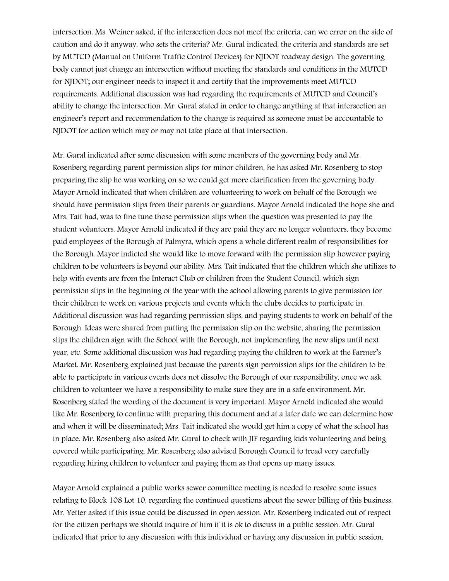intersection. Ms. Weiner asked, if the intersection does not meet the criteria, can we error on the side of caution and do it anyway, who sets the criteria? Mr. Gural indicated, the criteria and standards are set by MUTCD (Manual on Uniform Traffic Control Devices) for NJDOT roadway design. The governing body cannot just change an intersection without meeting the standards and conditions in the MUTCD for NJDOT; our engineer needs to inspect it and certify that the improvements meet MUTCD requirements. Additional discussion was had regarding the requirements of MUTCD and Council's ability to change the intersection. Mr. Gural stated in order to change anything at that intersection an engineer's report and recommendation to the change is required as someone must be accountable to NJDOT for action which may or may not take place at that intersection.

Mr. Gural indicated after some discussion with some members of the governing body and Mr. Rosenberg regarding parent permission slips for minor children, he has asked Mr. Rosenberg to stop preparing the slip he was working on so we could get more clarification from the governing body. Mayor Arnold indicated that when children are volunteering to work on behalf of the Borough we should have permission slips from their parents or guardians. Mayor Arnold indicated the hope she and Mrs. Tait had, was to fine tune those permission slips when the question was presented to pay the student volunteers. Mayor Arnold indicated if they are paid they are no longer volunteers, they become paid employees of the Borough of Palmyra, which opens a whole different realm of responsibilities for the Borough. Mayor indicted she would like to move forward with the permission slip however paying children to be volunteers is beyond our ability. Mrs. Tait indicated that the children which she utilizes to help with events are from the Interact Club or children from the Student Council, which sign permission slips in the beginning of the year with the school allowing parents to give permission for their children to work on various projects and events which the clubs decides to participate in. Additional discussion was had regarding permission slips, and paying students to work on behalf of the Borough. Ideas were shared from putting the permission slip on the website, sharing the permission slips the children sign with the School with the Borough, not implementing the new slips until next year, etc. Some additional discussion was had regarding paying the children to work at the Farmer's Market. Mr. Rosenberg explained just because the parents sign permission slips for the children to be able to participate in various events does not dissolve the Borough of our responsibility, once we ask children to volunteer we have a responsibility to make sure they are in a safe environment. Mr. Rosenberg stated the wording of the document is very important. Mayor Arnold indicated she would like Mr. Rosenberg to continue with preparing this document and at a later date we can determine how and when it will be disseminated; Mrs. Tait indicated she would get him a copy of what the school has in place. Mr. Rosenberg also asked Mr. Gural to check with JIF regarding kids volunteering and being covered while participating. Mr. Rosenberg also advised Borough Council to tread very carefully regarding hiring children to volunteer and paying them as that opens up many issues.

Mayor Arnold explained a public works sewer committee meeting is needed to resolve some issues relating to Block 108 Lot 10, regarding the continued questions about the sewer billing of this business. Mr. Yetter asked if this issue could be discussed in open session. Mr. Rosenberg indicated out of respect for the citizen perhaps we should inquire of him if it is ok to discuss in a public session. Mr. Gural indicated that prior to any discussion with this individual or having any discussion in public session,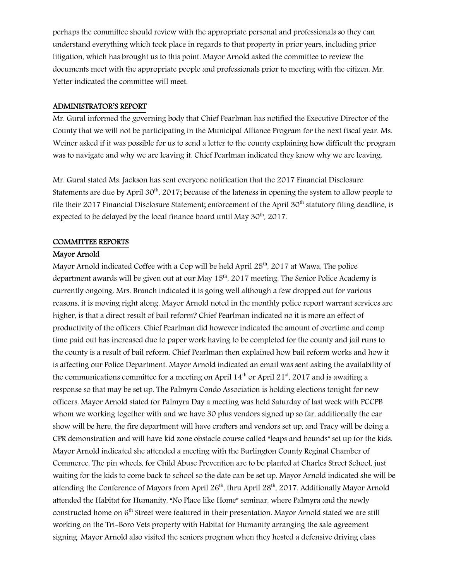perhaps the committee should review with the appropriate personal and professionals so they can understand everything which took place in regards to that property in prior years, including prior litigation, which has brought us to this point. Mayor Arnold asked the committee to review the documents meet with the appropriate people and professionals prior to meeting with the citizen. Mr. Yetter indicated the committee will meet.

#### ADMINISTRATOR'S REPORT

Mr. Gural informed the governing body that Chief Pearlman has notified the Executive Director of the County that we will not be participating in the Municipal Alliance Program for the next fiscal year. Ms. Weiner asked if it was possible for us to send a letter to the county explaining how difficult the program was to navigate and why we are leaving it. Chief Pearlman indicated they know why we are leaving.

Mr. Gural stated Ms. Jackson has sent everyone notification that the 2017 Financial Disclosure Statements are due by April  $30<sup>th</sup>$ , 2017; because of the lateness in opening the system to allow people to file their 2017 Financial Disclosure Statement; enforcement of the April 30<sup>th</sup> statutory filing deadline, is expected to be delayed by the local finance board until May 30<sup>th</sup>, 2017.

#### COMMITTEE REPORTS

#### Mayor Arnold

Mayor Arnold indicated Coffee with a Cop will be held April  $25<sup>th</sup>$ , 2017 at Wawa, The police department awards will be given out at our May  $15<sup>th</sup>$ , 2017 meeting. The Senior Police Academy is currently ongoing. Mrs. Branch indicated it is going well although a few dropped out for various reasons, it is moving right along. Mayor Arnold noted in the monthly police report warrant services are higher, is that a direct result of bail reform? Chief Pearlman indicated no it is more an effect of productivity of the officers. Chief Pearlman did however indicated the amount of overtime and comp time paid out has increased due to paper work having to be completed for the county and jail runs to the county is a result of bail reform. Chief Pearlman then explained how bail reform works and how it is affecting our Police Department. Mayor Arnold indicated an email was sent asking the availability of the communications committee for a meeting on April  $14<sup>th</sup>$  or April 21<sup>st</sup>, 2017 and is awaiting a response so that may be set up. The Palmyra Condo Association is holding elections tonight for new officers. Mayor Arnold stated for Palmyra Day a meeting was held Saturday of last week with PCCPB whom we working together with and we have 30 plus vendors signed up so far, additionally the car show will be here, the fire department will have crafters and vendors set up, and Tracy will be doing a CPR demonstration and will have kid zone obstacle course called "leaps and bounds" set up for the kids. Mayor Arnold indicated she attended a meeting with the Burlington County Reginal Chamber of Commerce. The pin wheels, for Child Abuse Prevention are to be planted at Charles Street School, just waiting for the kids to come back to school so the date can be set up. Mayor Arnold indicated she will be attending the Conference of Mayors from April  $26<sup>th</sup>$ , thru April  $28<sup>th</sup>$ , 2017. Additionally Mayor Arnold attended the Habitat for Humanity, "No Place like Home" seminar, where Palmyra and the newly constructed home on 6<sup>th</sup> Street were featured in their presentation. Mayor Arnold stated we are still working on the Tri-Boro Vets property with Habitat for Humanity arranging the sale agreement signing. Mayor Arnold also visited the seniors program when they hosted a defensive driving class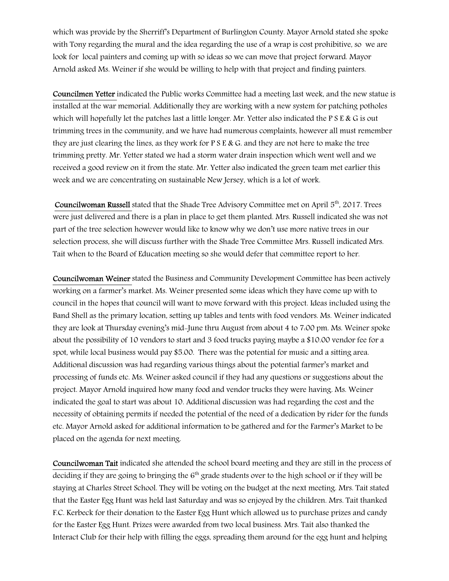which was provide by the Sherriff's Department of Burlington County. Mayor Arnold stated she spoke with Tony regarding the mural and the idea regarding the use of a wrap is cost prohibitive, so we are look for local painters and coming up with so ideas so we can move that project forward. Mayor Arnold asked Ms. Weiner if she would be willing to help with that project and finding painters.

Councilmen Yetter indicated the Public works Committee had a meeting last week, and the new statue is installed at the war memorial. Additionally they are working with a new system for patching potholes which will hopefully let the patches last a little longer. Mr. Yetter also indicated the P S E & G is out trimming trees in the community, and we have had numerous complaints, however all must remember they are just clearing the lines, as they work for  $P S E & G$ , and they are not here to make the tree trimming pretty. Mr. Yetter stated we had a storm water drain inspection which went well and we received a good review on it from the state. Mr. Yetter also indicated the green team met earlier this week and we are concentrating on sustainable New Jersey, which is a lot of work.

Councilwoman Russell stated that the Shade Tree Advisory Committee met on April 5<sup>th</sup>, 2017. Trees were just delivered and there is a plan in place to get them planted. Mrs. Russell indicated she was not part of the tree selection however would like to know why we don't use more native trees in our selection process, she will discuss further with the Shade Tree Committee Mrs. Russell indicated Mrs. Tait when to the Board of Education meeting so she would defer that committee report to her.

Councilwoman Weiner stated the Business and Community Development Committee has been actively working on a farmer's market. Ms. Weiner presented some ideas which they have come up with to council in the hopes that council will want to move forward with this project. Ideas included using the Band Shell as the primary location, setting up tables and tents with food vendors. Ms. Weiner indicated they are look at Thursday evening's mid-June thru August from about 4 to 7:00 pm. Ms. Weiner spoke about the possibility of 10 vendors to start and 3 food trucks paying maybe a \$10.00 vendor fee for a spot, while local business would pay \$5.00. There was the potential for music and a sitting area. Additional discussion was had regarding various things about the potential farmer's market and processing of funds etc. Ms. Weiner asked council if they had any questions or suggestions about the project. Mayor Arnold inquired how many food and vendor trucks they were having. Ms. Weiner indicated the goal to start was about 10. Additional discussion was had regarding the cost and the necessity of obtaining permits if needed the potential of the need of a dedication by rider for the funds etc. Mayor Arnold asked for additional information to be gathered and for the Farmer's Market to be placed on the agenda for next meeting.

Councilwoman Tait indicated she attended the school board meeting and they are still in the process of deciding if they are going to bringing the  $6<sup>th</sup>$  grade students over to the high school or if they will be staying at Charles Street School. They will be voting on the budget at the next meeting. Mrs. Tait stated that the Easter Egg Hunt was held last Saturday and was so enjoyed by the children. Mrs. Tait thanked F.C. Kerbeck for their donation to the Easter Egg Hunt which allowed us to purchase prizes and candy for the Easter Egg Hunt. Prizes were awarded from two local business. Mrs. Tait also thanked the Interact Club for their help with filling the eggs, spreading them around for the egg hunt and helping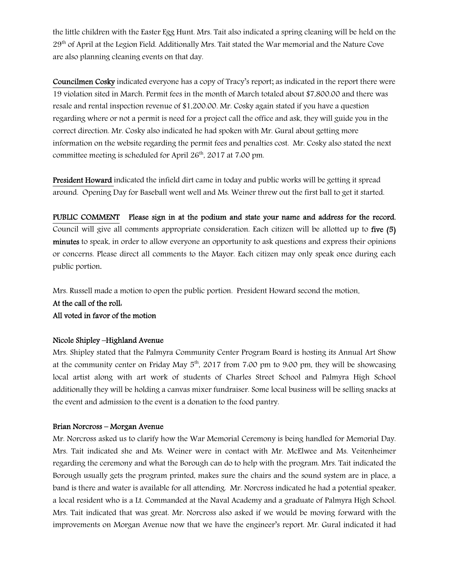the little children with the Easter Egg Hunt. Mrs. Tait also indicated a spring cleaning will be held on the 29<sup>th</sup> of April at the Legion Field. Additionally Mrs. Tait stated the War memorial and the Nature Cove are also planning cleaning events on that day.

Councilmen Cosky indicated everyone has a copy of Tracy's report; as indicated in the report there were 19 violation sited in March. Permit fees in the month of March totaled about \$7,800.00 and there was resale and rental inspection revenue of \$1,200.00. Mr. Cosky again stated if you have a question regarding where or not a permit is need for a project call the office and ask, they will guide you in the correct direction. Mr. Cosky also indicated he had spoken with Mr. Gural about getting more information on the website regarding the permit fees and penalties cost. Mr. Cosky also stated the next committee meeting is scheduled for April 26<sup>th</sup>, 2017 at 7:00 pm.

President Howard indicated the infield dirt came in today and public works will be getting it spread around. Opening Day for Baseball went well and Ms. Weiner threw out the first ball to get it started.

PUBLIC COMMENT Please sign in at the podium and state your name and address for the record. Council will give all comments appropriate consideration. Each citizen will be allotted up to five (5) minutes to speak, in order to allow everyone an opportunity to ask questions and express their opinions or concerns. Please direct all comments to the Mayor. Each citizen may only speak once during each public portion.

Mrs. Russell made a motion to open the public portion. President Howard second the motion.

## At the call of the roll: All voted in favor of the motion

#### Nicole Shipley –Highland Avenue

Mrs. Shipley stated that the Palmyra Community Center Program Board is hosting its Annual Art Show at the community center on Friday May  $5<sup>th</sup>$ , 2017 from 7:00 pm to 9:00 pm, they will be showcasing local artist along with art work of students of Charles Street School and Palmyra High School additionally they will be holding a canvas mixer fundraiser. Some local business will be selling snacks at the event and admission to the event is a donation to the food pantry.

#### Brian Norcross – Morgan Avenue

Mr. Norcross asked us to clarify how the War Memorial Ceremony is being handled for Memorial Day. Mrs. Tait indicated she and Ms. Weiner were in contact with Mr. McElwee and Ms. Veitenheimer regarding the ceremony and what the Borough can do to help with the program. Mrs. Tait indicated the Borough usually gets the program printed, makes sure the chairs and the sound system are in place, a band is there and water is available for all attending. Mr. Norcross indicated he had a potential speaker, a local resident who is a Lt. Commanded at the Naval Academy and a graduate of Palmyra High School. Mrs. Tait indicated that was great. Mr. Norcross also asked if we would be moving forward with the improvements on Morgan Avenue now that we have the engineer's report. Mr. Gural indicated it had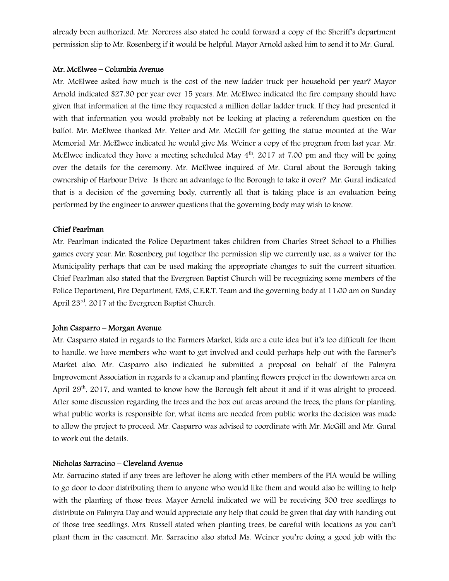already been authorized. Mr. Norcross also stated he could forward a copy of the Sheriff's department permission slip to Mr. Rosenberg if it would be helpful. Mayor Arnold asked him to send it to Mr. Gural.

#### Mr. McElwee – Columbia Avenue

Mr. McElwee asked how much is the cost of the new ladder truck per household per year? Mayor Arnold indicated \$27.30 per year over 15 years. Mr. McElwee indicated the fire company should have given that information at the time they requested a million dollar ladder truck. If they had presented it with that information you would probably not be looking at placing a referendum question on the ballot. Mr. McElwee thanked Mr. Yetter and Mr. McGill for getting the statue mounted at the War Memorial. Mr. McElwee indicated he would give Ms. Weiner a copy of the program from last year. Mr. McElwee indicated they have a meeting scheduled May  $4<sup>th</sup>$ , 2017 at 7:00 pm and they will be going over the details for the ceremony. Mr. McElwee inquired of Mr. Gural about the Borough taking ownership of Harbour Drive. Is there an advantage to the Borough to take it over? Mr. Gural indicated that is a decision of the governing body, currently all that is taking place is an evaluation being performed by the engineer to answer questions that the governing body may wish to know.

#### Chief Pearlman

Mr. Pearlman indicated the Police Department takes children from Charles Street School to a Phillies games every year. Mr. Rosenberg put together the permission slip we currently use, as a waiver for the Municipality perhaps that can be used making the appropriate changes to suit the current situation. Chief Pearlman also stated that the Evergreen Baptist Church will be recognizing some members of the Police Department, Fire Department, EMS, C.E.R.T. Team and the governing body at 11:00 am on Sunday April 23rd, 2017 at the Evergreen Baptist Church.

#### John Casparro – Morgan Avenue

Mr. Casparro stated in regards to the Farmers Market, kids are a cute idea but it's too difficult for them to handle, we have members who want to get involved and could perhaps help out with the Farmer's Market also. Mr. Casparro also indicated he submitted a proposal on behalf of the Palmyra Improvement Association in regards to a cleanup and planting flowers project in the downtown area on April 29<sup>th</sup>, 2017, and wanted to know how the Borough felt about it and if it was alright to proceed. After some discussion regarding the trees and the box out areas around the trees, the plans for planting, what public works is responsible for, what items are needed from public works the decision was made to allow the project to proceed. Mr. Casparro was advised to coordinate with Mr. McGill and Mr. Gural to work out the details.

#### Nicholas Sarracino – Cleveland Avenue

Mr. Sarracino stated if any trees are leftover he along with other members of the PIA would be willing to go door to door distributing them to anyone who would like them and would also be willing to help with the planting of those trees. Mayor Arnold indicated we will be receiving 500 tree seedlings to distribute on Palmyra Day and would appreciate any help that could be given that day with handing out of those tree seedlings. Mrs. Russell stated when planting trees, be careful with locations as you can't plant them in the easement. Mr. Sarracino also stated Ms. Weiner you're doing a good job with the